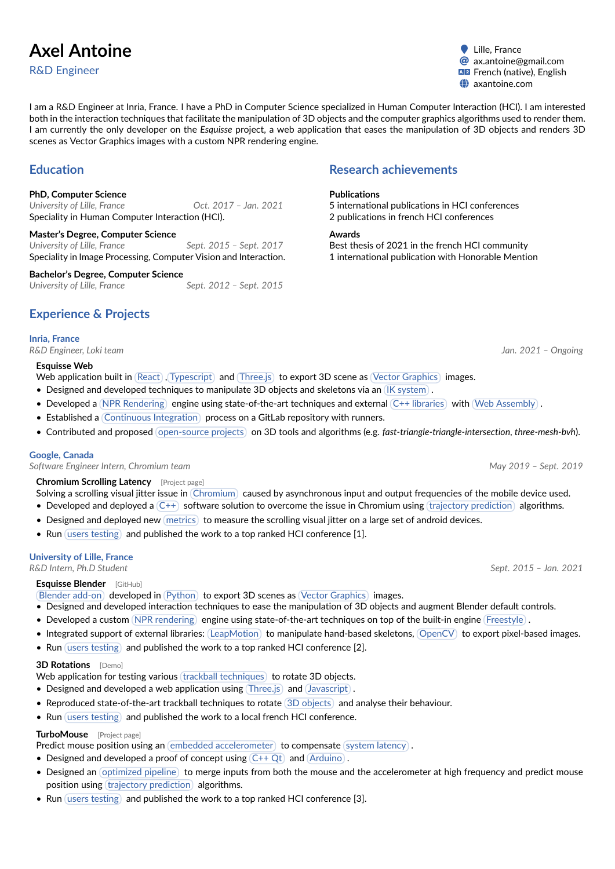# **Axel Antoine**

R&D Engineer

● Lille, France @ ax.antoine@gmail.com ~ [axantoine.com](https://axantoine.com)

I am a R&D Engineer at Inria, France. I have a PhD in Computer Science specialized in Human Computer Interaction (HCI). I am interested both in the interaction techniques that facilitate the manipulation of 3D objects and the computer graphics algorithms used to render them. I am currently the only developer on the *Esquisse* project, a web application that eases the manipulation of 3D objects and renders 3D scenes as Vector Graphics images with a custom NPR rendering engine.

# **Education**

## **PhD, Computer Science**

*University of Lille, France Oct. 2017 – Jan. 2021* Speciality in Human Computer Interaction (HCI).

**Master's Degree, Computer Science** *University of Lille, France Sept. 2015 – Sept. 2017* Speciality in Image Processing, Computer Vision and Interaction.

**Bachelor's Degree, Computer Science** *University of Lille, France Sept. 2012 – Sept. 2015*

# **Experience & Projects**

## **Inria, France**

*R&D Engineer, Loki team Jan. 2021 – Ongoing*

## **Esquisse Web**

Web application built in (React), (Typescript) and (Three.js) to export 3D scene as (Vector Graphics) images.

- Designed and developed techniques to manipulate 3D objects and skeletons via an IK system.
- Developed a (NPR Rendering) engine using state-of-the-art techniques and external (C++ libraries) with (Web Assembly).
- Established a Continuous Integration process on a GitLab repository with runners.
- Contributed and proposed open-source projects on 3D tools and algorithms (e.g. *[fast-triangle-triangle-intersection](https://github.com/LokiResearch/fast-triangle-triangle-intersection)*, *[three-mesh-bvh](https://github.com/gkjohnson/three-mesh-bvh)*).

#### **Google, Canada**

*Software Engineer Intern, Chromium team May 2019 – Sept. 2019*

## **Chromium Scrolling Latency** [\[Project page\]](https://cristal.univ-lille.fr/~casiez/async/)

Solving a scrolling visual jitter issue in Chromium caused by asynchronous input and output frequencies of the mobile device used.

- Developed and deployed a  $(C^{++})$  software solution to overcome the issue in Chromium using (trajectory prediction) algorithms.
- Designed and deployed new (metrics) to measure the scrolling visual jitter on a large set of android devices.
- Run (users testing) and published the work to a top ranked HCI conference [\[1\]](#page-1-0).

# **University of Lille, France**

*R&D Intern, Ph.D Student Sept. 2015 – Jan. 2021*

# **Esquisse Blender** [\[GitHub\]](https://github.com/LokiResearch/EsquisseBlender)

Blender add-on developed in Python to export 3D scenes as Vector Graphics images.

- Designed and developed interaction techniques to ease the manipulation of 3D objects and augment Blender default controls.
- Developed a custom (NPR rendering) engine using state-of-the-art techniques on top of the built-in engine (Freestyle).
- Integrated support of external libraries: (LeapMotion) to manipulate hand-based skeletons, (OpenCV) to export pixel-based images.
- Run (users testing) and published the work to a top ranked HCI conference [\[2\]](#page-1-1).

# **3D Rotations** [\[Demo\]](https://expe.lille.inria.fr/3drotations/)

Web application for testing various (trackball techniques) to rotate 3D objects.

- Designed and developed a web application using  $(Three.js)$  and  $(Javascript)$ .
- Reproduced state-of-the-art trackball techniques to rotate (3D objects) and analyse their behaviour.
- Run users testing and published the work to a local french HCI conference.

# **TurboMouse** [\[Project page\]](http://cristal.univ-lille.fr/~casiez/turbomouse/)

Predict mouse position using an embedded accelerometer) to compensate (system latency).

- Designed and developed a proof of concept using  $(C++ Qt)$  and  $(Arduino)$ .
- Designed an optimized pipeline) to merge inputs from both the mouse and the accelerometer at high frequency and predict mouse position using (trajectory prediction) algorithms.
- Run (users testing) and published the work to a top ranked HCI conference [\[3\]](#page-1-2).

# **Research achievements**

## **Publications**

5 international publications in HCI conferences 2 publications in french HCI conferences

#### **Awards**

Best thesis of 2021 in the french HCI community 1 international publication with Honorable Mention

**Az French (native), English**